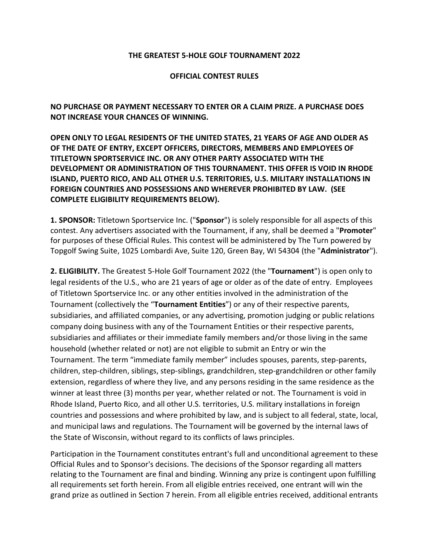## **THE GREATEST 5-HOLE GOLF TOURNAMENT 2022**

## **OFFICIAL CONTEST RULES**

**NO PURCHASE OR PAYMENT NECESSARY TO ENTER OR A CLAIM PRIZE. A PURCHASE DOES NOT INCREASE YOUR CHANCES OF WINNING.** 

**OPEN ONLY TO LEGAL RESIDENTS OF THE UNITED STATES, 21 YEARS OF AGE AND OLDER AS OF THE DATE OF ENTRY, EXCEPT OFFICERS, DIRECTORS, MEMBERS AND EMPLOYEES OF TITLETOWN SPORTSERVICE INC. OR ANY OTHER PARTY ASSOCIATED WITH THE DEVELOPMENT OR ADMINISTRATION OF THIS TOURNAMENT. THIS OFFER IS VOID IN RHODE ISLAND, PUERTO RICO, AND ALL OTHER U.S. TERRITORIES, U.S. MILITARY INSTALLATIONS IN FOREIGN COUNTRIES AND POSSESSIONS AND WHEREVER PROHIBITED BY LAW. (SEE COMPLETE ELIGIBILITY REQUIREMENTS BELOW).**

**1. SPONSOR:** Titletown Sportservice Inc. ("**Sponsor**") is solely responsible for all aspects of this contest. Any advertisers associated with the Tournament, if any, shall be deemed a "**Promoter**" for purposes of these Official Rules. This contest will be administered by The Turn powered by Topgolf Swing Suite, 1025 Lombardi Ave, Suite 120, Green Bay, WI 54304 (the "**Administrator**").

**2. ELIGIBILITY.** The Greatest 5-Hole Golf Tournament 2022 (the "**Tournament**") is open only to legal residents of the U.S., who are 21 years of age or older as of the date of entry. Employees of Titletown Sportservice Inc. or any other entities involved in the administration of the Tournament (collectively the "**Tournament Entities**") or any of their respective parents, subsidiaries, and affiliated companies, or any advertising, promotion judging or public relations company doing business with any of the Tournament Entities or their respective parents, subsidiaries and affiliates or their immediate family members and/or those living in the same household (whether related or not) are not eligible to submit an Entry or win the Tournament. The term "immediate family member" includes spouses, parents, step-parents, children, step-children, siblings, step-siblings, grandchildren, step-grandchildren or other family extension, regardless of where they live, and any persons residing in the same residence as the winner at least three (3) months per year, whether related or not. The Tournament is void in Rhode Island, Puerto Rico, and all other U.S. territories, U.S. military installations in foreign countries and possessions and where prohibited by law, and is subject to all federal, state, local, and municipal laws and regulations. The Tournament will be governed by the internal laws of the State of Wisconsin, without regard to its conflicts of laws principles.

Participation in the Tournament constitutes entrant's full and unconditional agreement to these Official Rules and to Sponsor's decisions. The decisions of the Sponsor regarding all matters relating to the Tournament are final and binding. Winning any prize is contingent upon fulfilling all requirements set forth herein. From all eligible entries received, one entrant will win the grand prize as outlined in Section 7 herein. From all eligible entries received, additional entrants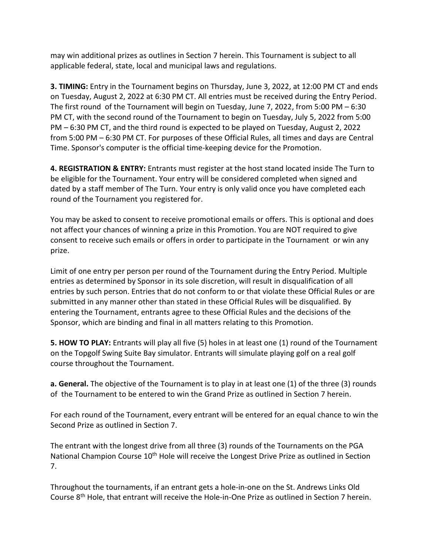may win additional prizes as outlines in Section 7 herein. This Tournament is subject to all applicable federal, state, local and municipal laws and regulations.

**3. TIMING:** Entry in the Tournament begins on Thursday, June 3, 2022, at 12:00 PM CT and ends on Tuesday, August 2, 2022 at 6:30 PM CT. All entries must be received during the Entry Period. The first round of the Tournament will begin on Tuesday, June 7, 2022, from 5:00 PM – 6:30 PM CT, with the second round of the Tournament to begin on Tuesday, July 5, 2022 from 5:00 PM – 6:30 PM CT, and the third round is expected to be played on Tuesday, August 2, 2022 from 5:00 PM – 6:30 PM CT. For purposes of these Official Rules, all times and days are Central Time. Sponsor's computer is the official time-keeping device for the Promotion.

**4. REGISTRATION & ENTRY:** Entrants must register at the host stand located inside The Turn to be eligible for the Tournament. Your entry will be considered completed when signed and dated by a staff member of The Turn. Your entry is only valid once you have completed each round of the Tournament you registered for.

You may be asked to consent to receive promotional emails or offers. This is optional and does not affect your chances of winning a prize in this Promotion. You are NOT required to give consent to receive such emails or offers in order to participate in the Tournament or win any prize.

Limit of one entry per person per round of the Tournament during the Entry Period. Multiple entries as determined by Sponsor in its sole discretion, will result in disqualification of all entries by such person. Entries that do not conform to or that violate these Official Rules or are submitted in any manner other than stated in these Official Rules will be disqualified. By entering the Tournament, entrants agree to these Official Rules and the decisions of the Sponsor, which are binding and final in all matters relating to this Promotion.

**5. HOW TO PLAY:** Entrants will play all five (5) holes in at least one (1) round of the Tournament on the Topgolf Swing Suite Bay simulator. Entrants will simulate playing golf on a real golf course throughout the Tournament.

**a. General.** The objective of the Tournament is to play in at least one (1) of the three (3) rounds of the Tournament to be entered to win the Grand Prize as outlined in Section 7 herein.

For each round of the Tournament, every entrant will be entered for an equal chance to win the Second Prize as outlined in Section 7.

The entrant with the longest drive from all three (3) rounds of the Tournaments on the PGA National Champion Course 10<sup>th</sup> Hole will receive the Longest Drive Prize as outlined in Section 7.

Throughout the tournaments, if an entrant gets a hole-in-one on the St. Andrews Links Old Course 8th Hole, that entrant will receive the Hole-in-One Prize as outlined in Section 7 herein.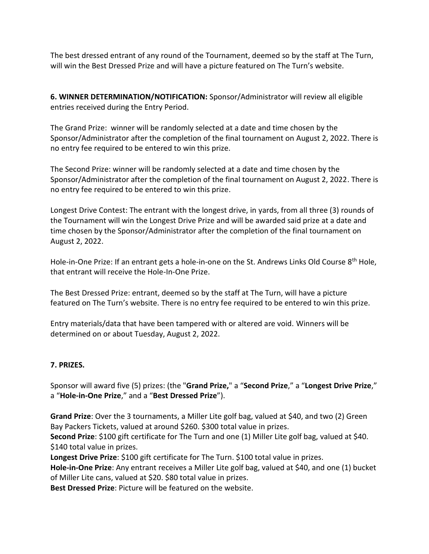The best dressed entrant of any round of the Tournament, deemed so by the staff at The Turn, will win the Best Dressed Prize and will have a picture featured on The Turn's website.

**6. WINNER DETERMINATION/NOTIFICATION:** Sponsor/Administrator will review all eligible entries received during the Entry Period.

The Grand Prize: winner will be randomly selected at a date and time chosen by the Sponsor/Administrator after the completion of the final tournament on August 2, 2022. There is no entry fee required to be entered to win this prize.

The Second Prize: winner will be randomly selected at a date and time chosen by the Sponsor/Administrator after the completion of the final tournament on August 2, 2022. There is no entry fee required to be entered to win this prize.

Longest Drive Contest: The entrant with the longest drive, in yards, from all three (3) rounds of the Tournament will win the Longest Drive Prize and will be awarded said prize at a date and time chosen by the Sponsor/Administrator after the completion of the final tournament on August 2, 2022.

Hole-in-One Prize: If an entrant gets a hole-in-one on the St. Andrews Links Old Course 8<sup>th</sup> Hole, that entrant will receive the Hole-In-One Prize.

The Best Dressed Prize: entrant, deemed so by the staff at The Turn, will have a picture featured on The Turn's website. There is no entry fee required to be entered to win this prize.

Entry materials/data that have been tampered with or altered are void. Winners will be determined on or about Tuesday, August 2, 2022.

## **7. PRIZES.**

Sponsor will award five (5) prizes: (the "**Grand Prize,**" a "**Second Prize**," a "**Longest Drive Prize**," a "**Hole-in-One Prize**," and a "**Best Dressed Prize**").

**Grand Prize**: Over the 3 tournaments, a Miller Lite golf bag, valued at \$40, and two (2) Green Bay Packers Tickets, valued at around \$260. \$300 total value in prizes.

**Second Prize**: \$100 gift certificate for The Turn and one (1) Miller Lite golf bag, valued at \$40. \$140 total value in prizes.

**Longest Drive Prize**: \$100 gift certificate for The Turn. \$100 total value in prizes.

**Hole-in-One Prize**: Any entrant receives a Miller Lite golf bag, valued at \$40, and one (1) bucket of Miller Lite cans, valued at \$20. \$80 total value in prizes.

**Best Dressed Prize**: Picture will be featured on the website.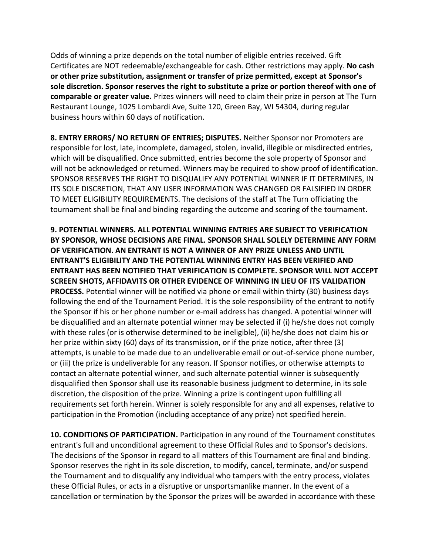Odds of winning a prize depends on the total number of eligible entries received. Gift Certificates are NOT redeemable/exchangeable for cash. Other restrictions may apply. **No cash or other prize substitution, assignment or transfer of prize permitted, except at Sponsor's sole discretion. Sponsor reserves the right to substitute a prize or portion thereof with one of comparable or greater value.** Prizes winners will need to claim their prize in person at The Turn Restaurant Lounge, 1025 Lombardi Ave, Suite 120, Green Bay, WI 54304, during regular business hours within 60 days of notification.

**8. ENTRY ERRORS/ NO RETURN OF ENTRIES; DISPUTES.** Neither Sponsor nor Promoters are responsible for lost, late, incomplete, damaged, stolen, invalid, illegible or misdirected entries, which will be disqualified. Once submitted, entries become the sole property of Sponsor and will not be acknowledged or returned. Winners may be required to show proof of identification. SPONSOR RESERVES THE RIGHT TO DISQUALIFY ANY POTENTIAL WINNER IF IT DETERMINES, IN ITS SOLE DISCRETION, THAT ANY USER INFORMATION WAS CHANGED OR FALSIFIED IN ORDER TO MEET ELIGIBILITY REQUIREMENTS. The decisions of the staff at The Turn officiating the tournament shall be final and binding regarding the outcome and scoring of the tournament.

**9. POTENTIAL WINNERS. ALL POTENTIAL WINNING ENTRIES ARE SUBJECT TO VERIFICATION BY SPONSOR, WHOSE DECISIONS ARE FINAL. SPONSOR SHALL SOLELY DETERMINE ANY FORM OF VERIFICATION. AN ENTRANT IS NOT A WINNER OF ANY PRIZE UNLESS AND UNTIL ENTRANT'S ELIGIBILITY AND THE POTENTIAL WINNING ENTRY HAS BEEN VERIFIED AND ENTRANT HAS BEEN NOTIFIED THAT VERIFICATION IS COMPLETE. SPONSOR WILL NOT ACCEPT SCREEN SHOTS, AFFIDAVITS OR OTHER EVIDENCE OF WINNING IN LIEU OF ITS VALIDATION PROCESS.** Potential winner will be notified via phone or email within thirty (30) business days following the end of the Tournament Period. It is the sole responsibility of the entrant to notify the Sponsor if his or her phone number or e-mail address has changed. A potential winner will be disqualified and an alternate potential winner may be selected if (i) he/she does not comply with these rules (or is otherwise determined to be ineligible), (ii) he/she does not claim his or her prize within sixty (60) days of its transmission, or if the prize notice, after three (3) attempts, is unable to be made due to an undeliverable email or out-of-service phone number, or (iii) the prize is undeliverable for any reason. If Sponsor notifies, or otherwise attempts to contact an alternate potential winner, and such alternate potential winner is subsequently disqualified then Sponsor shall use its reasonable business judgment to determine, in its sole discretion, the disposition of the prize. Winning a prize is contingent upon fulfilling all requirements set forth herein. Winner is solely responsible for any and all expenses, relative to participation in the Promotion (including acceptance of any prize) not specified herein.

**10. CONDITIONS OF PARTICIPATION.** Participation in any round of the Tournament constitutes entrant's full and unconditional agreement to these Official Rules and to Sponsor's decisions. The decisions of the Sponsor in regard to all matters of this Tournament are final and binding. Sponsor reserves the right in its sole discretion, to modify, cancel, terminate, and/or suspend the Tournament and to disqualify any individual who tampers with the entry process, violates these Official Rules, or acts in a disruptive or unsportsmanlike manner. In the event of a cancellation or termination by the Sponsor the prizes will be awarded in accordance with these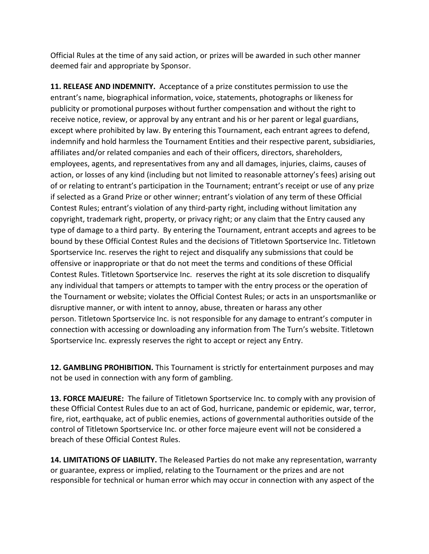Official Rules at the time of any said action, or prizes will be awarded in such other manner deemed fair and appropriate by Sponsor.

**11. RELEASE AND INDEMNITY.** Acceptance of a prize constitutes permission to use the entrant's name, biographical information, voice, statements, photographs or likeness for publicity or promotional purposes without further compensation and without the right to receive notice, review, or approval by any entrant and his or her parent or legal guardians, except where prohibited by law. By entering this Tournament, each entrant agrees to defend, indemnify and hold harmless the Tournament Entities and their respective parent, subsidiaries, affiliates and/or related companies and each of their officers, directors, shareholders, employees, agents, and representatives from any and all damages, injuries, claims, causes of action, or losses of any kind (including but not limited to reasonable attorney's fees) arising out of or relating to entrant's participation in the Tournament; entrant's receipt or use of any prize if selected as a Grand Prize or other winner; entrant's violation of any term of these Official Contest Rules; entrant's violation of any third-party right, including without limitation any copyright, trademark right, property, or privacy right; or any claim that the Entry caused any type of damage to a third party. By entering the Tournament, entrant accepts and agrees to be bound by these Official Contest Rules and the decisions of Titletown Sportservice Inc. Titletown Sportservice Inc. reserves the right to reject and disqualify any submissions that could be offensive or inappropriate or that do not meet the terms and conditions of these Official Contest Rules. Titletown Sportservice Inc. reserves the right at its sole discretion to disqualify any individual that tampers or attempts to tamper with the entry process or the operation of the Tournament or website; violates the Official Contest Rules; or acts in an unsportsmanlike or disruptive manner, or with intent to annoy, abuse, threaten or harass any other person. Titletown Sportservice Inc. is not responsible for any damage to entrant's computer in connection with accessing or downloading any information from The Turn's website. Titletown Sportservice Inc. expressly reserves the right to accept or reject any Entry.

**12. GAMBLING PROHIBITION.** This Tournament is strictly for entertainment purposes and may not be used in connection with any form of gambling.

**13. FORCE MAJEURE:** The failure of Titletown Sportservice Inc. to comply with any provision of these Official Contest Rules due to an act of God, hurricane, pandemic or epidemic, war, terror, fire, riot, earthquake, act of public enemies, actions of governmental authorities outside of the control of Titletown Sportservice Inc. or other force majeure event will not be considered a breach of these Official Contest Rules.

**14. LIMITATIONS OF LIABILITY.** The Released Parties do not make any representation, warranty or guarantee, express or implied, relating to the Tournament or the prizes and are not responsible for technical or human error which may occur in connection with any aspect of the